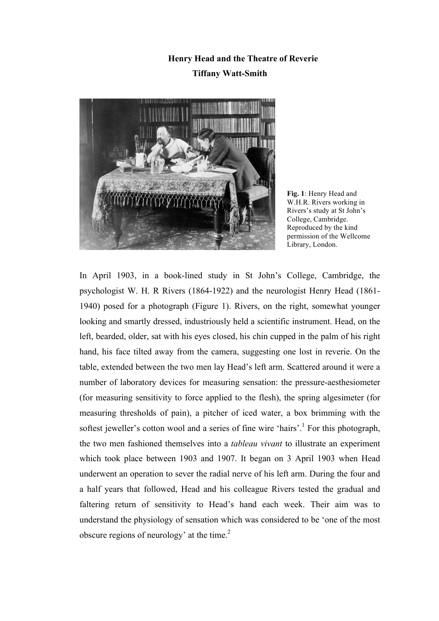# **Henry Head and the Theatre of Reverie Tiffany Watt-Smith**



**Fig. 1**: Henry Head and W.H.R. Rivers working in Rivers's study at St John's College, Cambridge. Reproduced by the kind permission of the Wellcome Library, London.

In April 1903, in a book-lined study in St John's College, Cambridge, the psychologist W. H. R Rivers (1864-1922) and the neurologist Henry Head (1861- 1940) posed for a photograph (Figure 1). Rivers, on the right, somewhat younger looking and smartly dressed, industriously held a scientific instrument. Head, on the left, bearded, older, sat with his eyes closed, his chin cupped in the palm of his right hand, his face tilted away from the camera, suggesting one lost in reverie. On the table, extended between the two men lay Head's left arm. Scattered around it were a number of laboratory devices for measuring sensation: the pressure-aesthesiometer (for measuring sensitivity to force applied to the flesh), the spring algesimeter (for measuring thresholds of pain), a pitcher of iced water, a box brimming with the softest jeweller's cotton wool and a series of fine wire 'hairs'.<sup>1</sup> For this photograph, the two men fashioned themselves into a *tableau vivant* to illustrate an experiment which took place between 1903 and 1907. It began on 3 April 1903 when Head underwent an operation to sever the radial nerve of his left arm. During the four and a half years that followed, Head and his colleague Rivers tested the gradual and faltering return of sensitivity to Head's hand each week. Their aim was to understand the physiology of sensation which was considered to be 'one of the most obscure regions of neurology' at the time. $2$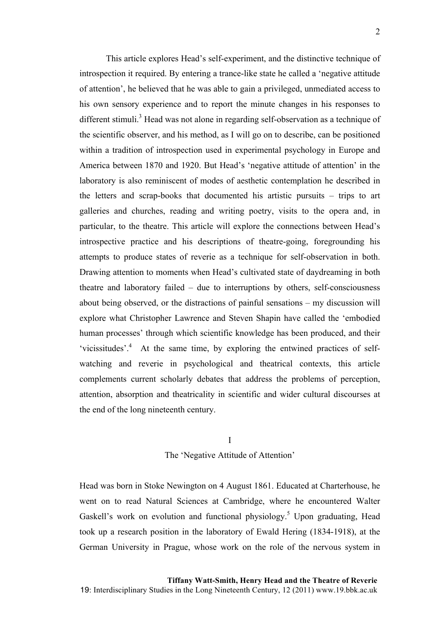This article explores Head's self-experiment, and the distinctive technique of introspection it required. By entering a trance-like state he called a 'negative attitude of attention', he believed that he was able to gain a privileged, unmediated access to his own sensory experience and to report the minute changes in his responses to different stimuli.<sup>3</sup> Head was not alone in regarding self-observation as a technique of the scientific observer, and his method, as I will go on to describe, can be positioned within a tradition of introspection used in experimental psychology in Europe and America between 1870 and 1920. But Head's 'negative attitude of attention' in the laboratory is also reminiscent of modes of aesthetic contemplation he described in the letters and scrap-books that documented his artistic pursuits – trips to art galleries and churches, reading and writing poetry, visits to the opera and, in particular, to the theatre. This article will explore the connections between Head's introspective practice and his descriptions of theatre-going, foregrounding his attempts to produce states of reverie as a technique for self-observation in both. Drawing attention to moments when Head's cultivated state of daydreaming in both theatre and laboratory failed – due to interruptions by others, self-consciousness about being observed, or the distractions of painful sensations – my discussion will explore what Christopher Lawrence and Steven Shapin have called the 'embodied human processes' through which scientific knowledge has been produced, and their 'vicissitudes'.<sup>4</sup> At the same time, by exploring the entwined practices of selfwatching and reverie in psychological and theatrical contexts, this article complements current scholarly debates that address the problems of perception, attention, absorption and theatricality in scientific and wider cultural discourses at the end of the long nineteenth century.

## I The 'Negative Attitude of Attention'

Head was born in Stoke Newington on 4 August 1861. Educated at Charterhouse, he went on to read Natural Sciences at Cambridge, where he encountered Walter Gaskell's work on evolution and functional physiology.<sup>5</sup> Upon graduating, Head took up a research position in the laboratory of Ewald Hering (1834-1918), at the German University in Prague, whose work on the role of the nervous system in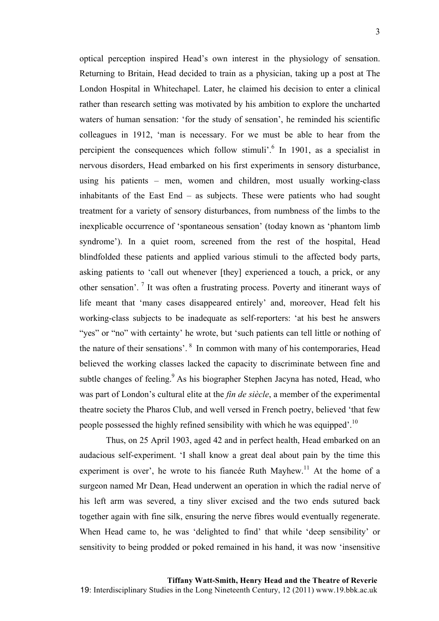optical perception inspired Head's own interest in the physiology of sensation. Returning to Britain, Head decided to train as a physician, taking up a post at The London Hospital in Whitechapel. Later, he claimed his decision to enter a clinical rather than research setting was motivated by his ambition to explore the uncharted waters of human sensation: 'for the study of sensation', he reminded his scientific colleagues in 1912, 'man is necessary. For we must be able to hear from the percipient the consequences which follow stimuli<sup>6</sup>. In 1901, as a specialist in nervous disorders, Head embarked on his first experiments in sensory disturbance, using his patients – men, women and children, most usually working-class inhabitants of the East End – as subjects. These were patients who had sought treatment for a variety of sensory disturbances, from numbness of the limbs to the inexplicable occurrence of 'spontaneous sensation' (today known as 'phantom limb syndrome'). In a quiet room, screened from the rest of the hospital, Head blindfolded these patients and applied various stimuli to the affected body parts, asking patients to 'call out whenever [they] experienced a touch, a prick, or any other sensation'. <sup>7</sup> It was often a frustrating process. Poverty and itinerant ways of life meant that 'many cases disappeared entirely' and, moreover, Head felt his working-class subjects to be inadequate as self-reporters: 'at his best he answers "yes" or "no" with certainty' he wrote, but 'such patients can tell little or nothing of the nature of their sensations'. 8 In common with many of his contemporaries, Head believed the working classes lacked the capacity to discriminate between fine and subtle changes of feeling.<sup>9</sup> As his biographer Stephen Jacyna has noted, Head, who was part of London's cultural elite at the *fin de siècle*, a member of the experimental theatre society the Pharos Club, and well versed in French poetry, believed 'that few

Thus, on 25 April 1903, aged 42 and in perfect health, Head embarked on an audacious self-experiment. 'I shall know a great deal about pain by the time this experiment is over', he wrote to his fiancée Ruth Mayhew.<sup>11</sup> At the home of a surgeon named Mr Dean, Head underwent an operation in which the radial nerve of his left arm was severed, a tiny sliver excised and the two ends sutured back together again with fine silk, ensuring the nerve fibres would eventually regenerate. When Head came to, he was 'delighted to find' that while 'deep sensibility' or sensitivity to being prodded or poked remained in his hand, it was now 'insensitive

people possessed the highly refined sensibility with which he was equipped'.<sup>10</sup>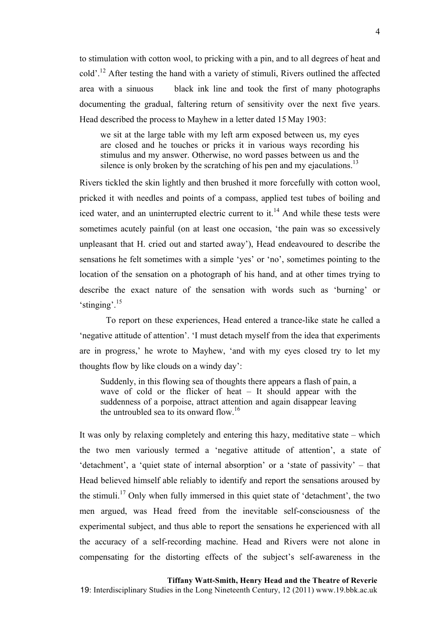to stimulation with cotton wool, to pricking with a pin, and to all degrees of heat and cold'.12 After testing the hand with a variety of stimuli, Rivers outlined the affected area with a sinuous black ink line and took the first of many photographs documenting the gradual, faltering return of sensitivity over the next five years. Head described the process to Mayhew in a letter dated 15 May 1903:

we sit at the large table with my left arm exposed between us, my eyes are closed and he touches or pricks it in various ways recording his stimulus and my answer. Otherwise, no word passes between us and the silence is only broken by the scratching of his pen and my ejaculations.<sup>13</sup>

Rivers tickled the skin lightly and then brushed it more forcefully with cotton wool, pricked it with needles and points of a compass, applied test tubes of boiling and iced water, and an uninterrupted electric current to it.<sup>14</sup> And while these tests were sometimes acutely painful (on at least one occasion, 'the pain was so excessively unpleasant that H. cried out and started away'), Head endeavoured to describe the sensations he felt sometimes with a simple 'yes' or 'no', sometimes pointing to the location of the sensation on a photograph of his hand, and at other times trying to describe the exact nature of the sensation with words such as 'burning' or 'stinging'.<sup>15</sup>

To report on these experiences, Head entered a trance-like state he called a 'negative attitude of attention'. 'I must detach myself from the idea that experiments are in progress,' he wrote to Mayhew, 'and with my eyes closed try to let my thoughts flow by like clouds on a windy day':

Suddenly, in this flowing sea of thoughts there appears a flash of pain, a wave of cold or the flicker of heat – It should appear with the suddenness of a porpoise, attract attention and again disappear leaving the untroubled sea to its onward flow.<sup>16</sup>

It was only by relaxing completely and entering this hazy, meditative state – which the two men variously termed a 'negative attitude of attention', a state of 'detachment', a 'quiet state of internal absorption' or a 'state of passivity' – that Head believed himself able reliably to identify and report the sensations aroused by the stimuli.<sup>17</sup> Only when fully immersed in this quiet state of 'detachment', the two men argued, was Head freed from the inevitable self-consciousness of the experimental subject, and thus able to report the sensations he experienced with all the accuracy of a self-recording machine. Head and Rivers were not alone in compensating for the distorting effects of the subject's self-awareness in the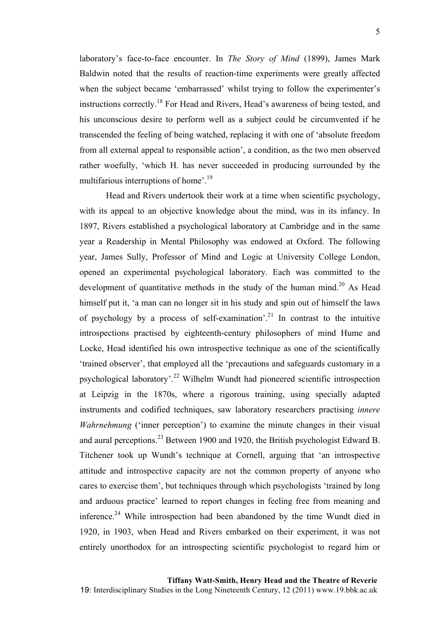laboratory's face-to-face encounter. In *The Story of Mind* (1899), James Mark Baldwin noted that the results of reaction-time experiments were greatly affected when the subject became 'embarrassed' whilst trying to follow the experimenter's instructions correctly.18 For Head and Rivers, Head's awareness of being tested, and his unconscious desire to perform well as a subject could be circumvented if he transcended the feeling of being watched, replacing it with one of 'absolute freedom from all external appeal to responsible action', a condition, as the two men observed rather woefully, 'which H. has never succeeded in producing surrounded by the multifarious interruptions of home'.<sup>19</sup>

Head and Rivers undertook their work at a time when scientific psychology, with its appeal to an objective knowledge about the mind, was in its infancy. In 1897, Rivers established a psychological laboratory at Cambridge and in the same year a Readership in Mental Philosophy was endowed at Oxford. The following year, James Sully, Professor of Mind and Logic at University College London, opened an experimental psychological laboratory. Each was committed to the development of quantitative methods in the study of the human mind.<sup>20</sup> As Head himself put it, 'a man can no longer sit in his study and spin out of himself the laws of psychology by a process of self-examination<sup>'.21</sup> In contrast to the intuitive introspections practised by eighteenth-century philosophers of mind Hume and Locke, Head identified his own introspective technique as one of the scientifically 'trained observer', that employed all the 'precautions and safeguards customary in a psychological laboratory'.22 Wilhelm Wundt had pioneered scientific introspection at Leipzig in the 1870s, where a rigorous training, using specially adapted instruments and codified techniques, saw laboratory researchers practising *innere Wahrnehmung* ('inner perception') to examine the minute changes in their visual and aural perceptions.<sup>23</sup> Between 1900 and 1920, the British psychologist Edward B. Titchener took up Wundt's technique at Cornell, arguing that 'an introspective attitude and introspective capacity are not the common property of anyone who cares to exercise them', but techniques through which psychologists 'trained by long and arduous practice' learned to report changes in feeling free from meaning and inference.<sup>24</sup> While introspection had been abandoned by the time Wundt died in 1920, in 1903, when Head and Rivers embarked on their experiment, it was not entirely unorthodox for an introspecting scientific psychologist to regard him or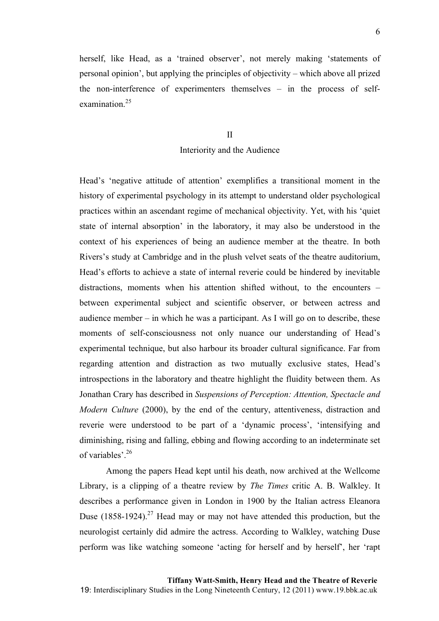herself, like Head, as a 'trained observer', not merely making 'statements of personal opinion', but applying the principles of objectivity – which above all prized the non-interference of experimenters themselves – in the process of selfexamination $25$ 

## II Interiority and the Audience

Head's 'negative attitude of attention' exemplifies a transitional moment in the history of experimental psychology in its attempt to understand older psychological practices within an ascendant regime of mechanical objectivity. Yet, with his 'quiet state of internal absorption' in the laboratory, it may also be understood in the context of his experiences of being an audience member at the theatre. In both Rivers's study at Cambridge and in the plush velvet seats of the theatre auditorium, Head's efforts to achieve a state of internal reverie could be hindered by inevitable distractions, moments when his attention shifted without, to the encounters – between experimental subject and scientific observer, or between actress and audience member – in which he was a participant. As I will go on to describe, these moments of self-consciousness not only nuance our understanding of Head's experimental technique, but also harbour its broader cultural significance. Far from regarding attention and distraction as two mutually exclusive states, Head's introspections in the laboratory and theatre highlight the fluidity between them. As Jonathan Crary has described in *Suspensions of Perception: Attention, Spectacle and Modern Culture* (2000), by the end of the century, attentiveness, distraction and reverie were understood to be part of a 'dynamic process', 'intensifying and diminishing, rising and falling, ebbing and flowing according to an indeterminate set of variables'.<sup>26</sup>

Among the papers Head kept until his death, now archived at the Wellcome Library, is a clipping of a theatre review by *The Times* critic A. B. Walkley. It describes a performance given in London in 1900 by the Italian actress Eleanora Duse  $(1858-1924)$ <sup>27</sup> Head may or may not have attended this production, but the neurologist certainly did admire the actress. According to Walkley, watching Duse perform was like watching someone 'acting for herself and by herself', her 'rapt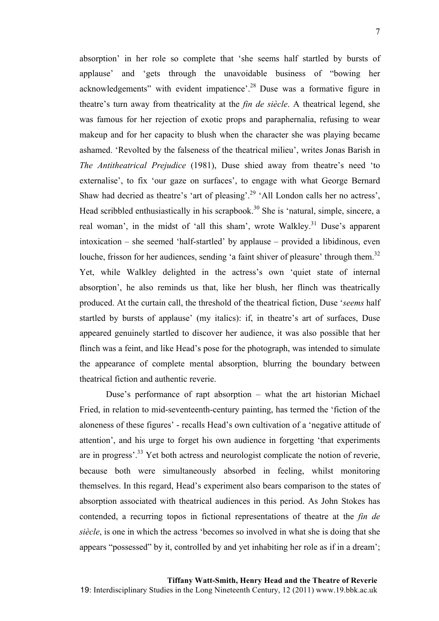absorption' in her role so complete that 'she seems half startled by bursts of applause' and 'gets through the unavoidable business of "bowing her acknowledgements" with evident impatience'.<sup>28</sup> Duse was a formative figure in theatre's turn away from theatricality at the *fin de siècle*. A theatrical legend, she was famous for her rejection of exotic props and paraphernalia, refusing to wear makeup and for her capacity to blush when the character she was playing became ashamed. 'Revolted by the falseness of the theatrical milieu', writes Jonas Barish in *The Antitheatrical Prejudice* (1981), Duse shied away from theatre's need 'to externalise', to fix 'our gaze on surfaces', to engage with what George Bernard Shaw had decried as theatre's 'art of pleasing'.29 'All London calls her no actress', Head scribbled enthusiastically in his scrapbook.<sup>30</sup> She is 'natural, simple, sincere, a real woman', in the midst of 'all this sham', wrote Walkley.<sup>31</sup> Duse's apparent intoxication – she seemed 'half-startled' by applause – provided a libidinous, even louche, frisson for her audiences, sending 'a faint shiver of pleasure' through them.<sup>32</sup> Yet, while Walkley delighted in the actress's own 'quiet state of internal absorption', he also reminds us that, like her blush, her flinch was theatrically produced. At the curtain call, the threshold of the theatrical fiction, Duse '*seems* half startled by bursts of applause' (my italics): if, in theatre's art of surfaces, Duse appeared genuinely startled to discover her audience, it was also possible that her flinch was a feint, and like Head's pose for the photograph, was intended to simulate the appearance of complete mental absorption, blurring the boundary between theatrical fiction and authentic reverie.

Duse's performance of rapt absorption – what the art historian Michael Fried, in relation to mid-seventeenth-century painting, has termed the 'fiction of the aloneness of these figures' - recalls Head's own cultivation of a 'negative attitude of attention', and his urge to forget his own audience in forgetting 'that experiments are in progress'.33 Yet both actress and neurologist complicate the notion of reverie, because both were simultaneously absorbed in feeling, whilst monitoring themselves. In this regard, Head's experiment also bears comparison to the states of absorption associated with theatrical audiences in this period. As John Stokes has contended, a recurring topos in fictional representations of theatre at the *fin de siècle*, is one in which the actress 'becomes so involved in what she is doing that she appears "possessed" by it, controlled by and yet inhabiting her role as if in a dream';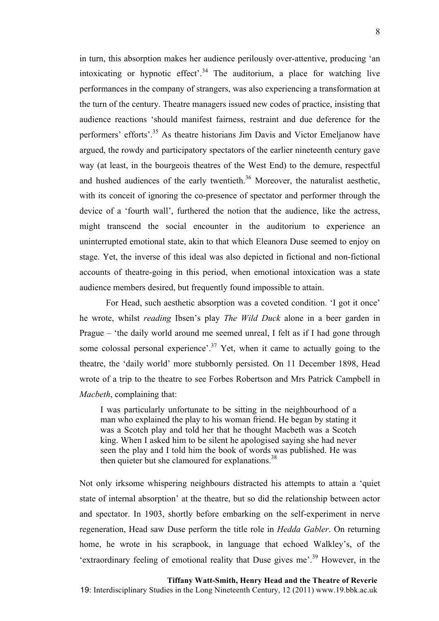in turn, this absorption makes her audience perilously over-attentive, producing 'an intoxicating or hypnotic effect'.<sup>34</sup> The auditorium, a place for watching live performances in the company of strangers, was also experiencing a transformation at the turn of the century. Theatre managers issued new codes of practice, insisting that audience reactions 'should manifest fairness, restraint and due deference for the performers' efforts'.35 As theatre historians Jim Davis and Victor Emeljanow have argued, the rowdy and participatory spectators of the earlier nineteenth century gave way (at least, in the bourgeois theatres of the West End) to the demure, respectful and hushed audiences of the early twentieth. $36$  Moreover, the naturalist aesthetic, with its conceit of ignoring the co-presence of spectator and performer through the device of a 'fourth wall', furthered the notion that the audience, like the actress, might transcend the social encounter in the auditorium to experience an uninterrupted emotional state, akin to that which Eleanora Duse seemed to enjoy on stage. Yet, the inverse of this ideal was also depicted in fictional and non-fictional accounts of theatre-going in this period, when emotional intoxication was a state audience members desired, but frequently found impossible to attain.

For Head, such aesthetic absorption was a coveted condition. 'I got it once' he wrote, whilst *reading* Ibsen's play *The Wild Duck* alone in a beer garden in Prague – 'the daily world around me seemed unreal, I felt as if I had gone through some colossal personal experience'.<sup>37</sup> Yet, when it came to actually going to the theatre, the 'daily world' more stubbornly persisted. On 11 December 1898, Head wrote of a trip to the theatre to see Forbes Robertson and Mrs Patrick Campbell in *Macbeth*, complaining that:

I was particularly unfortunate to be sitting in the neighbourhood of a man who explained the play to his woman friend. He began by stating it was a Scotch play and told her that he thought Macbeth was a Scotch king. When I asked him to be silent he apologised saying she had never seen the play and I told him the book of words was published. He was then quieter but she clamoured for explanations.<sup>38</sup>

Not only irksome whispering neighbours distracted his attempts to attain a 'quiet state of internal absorption' at the theatre, but so did the relationship between actor and spectator. In 1903, shortly before embarking on the self-experiment in nerve regeneration, Head saw Duse perform the title role in *Hedda Gabler*. On returning home, he wrote in his scrapbook, in language that echoed Walkley's, of the 'extraordinary feeling of emotional reality that Duse gives me'.39 However, in the

**Tiffany Watt-Smith, Henry Head and the Theatre of Reverie**

19: Interdisciplinary Studies in the Long Nineteenth Century, 12 (2011) www.19.bbk.ac.uk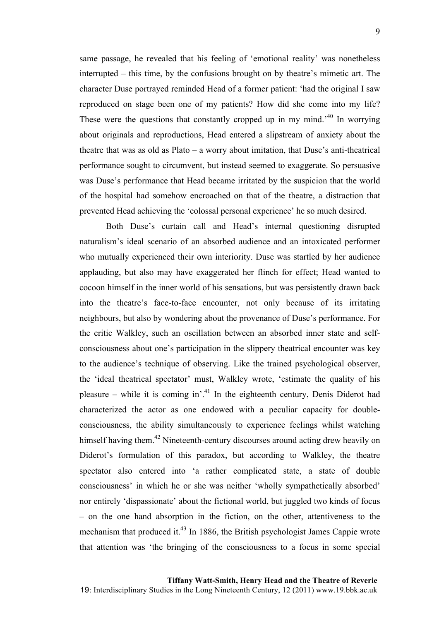same passage, he revealed that his feeling of 'emotional reality' was nonetheless interrupted – this time, by the confusions brought on by theatre's mimetic art. The character Duse portrayed reminded Head of a former patient: 'had the original I saw reproduced on stage been one of my patients? How did she come into my life? These were the questions that constantly cropped up in my mind.<sup> $40$ </sup> In worrying about originals and reproductions, Head entered a slipstream of anxiety about the theatre that was as old as Plato – a worry about imitation, that Duse's anti-theatrical performance sought to circumvent, but instead seemed to exaggerate. So persuasive was Duse's performance that Head became irritated by the suspicion that the world of the hospital had somehow encroached on that of the theatre, a distraction that prevented Head achieving the 'colossal personal experience' he so much desired.

Both Duse's curtain call and Head's internal questioning disrupted naturalism's ideal scenario of an absorbed audience and an intoxicated performer who mutually experienced their own interiority. Duse was startled by her audience applauding, but also may have exaggerated her flinch for effect; Head wanted to cocoon himself in the inner world of his sensations, but was persistently drawn back into the theatre's face-to-face encounter, not only because of its irritating neighbours, but also by wondering about the provenance of Duse's performance. For the critic Walkley, such an oscillation between an absorbed inner state and selfconsciousness about one's participation in the slippery theatrical encounter was key to the audience's technique of observing. Like the trained psychological observer, the 'ideal theatrical spectator' must, Walkley wrote, 'estimate the quality of his pleasure – while it is coming in'.<sup>41</sup> In the eighteenth century, Denis Diderot had characterized the actor as one endowed with a peculiar capacity for doubleconsciousness, the ability simultaneously to experience feelings whilst watching himself having them.<sup>42</sup> Nineteenth-century discourses around acting drew heavily on Diderot's formulation of this paradox, but according to Walkley, the theatre spectator also entered into 'a rather complicated state, a state of double consciousness' in which he or she was neither 'wholly sympathetically absorbed' nor entirely 'dispassionate' about the fictional world, but juggled two kinds of focus – on the one hand absorption in the fiction, on the other, attentiveness to the mechanism that produced it. $^{43}$  In 1886, the British psychologist James Cappie wrote that attention was 'the bringing of the consciousness to a focus in some special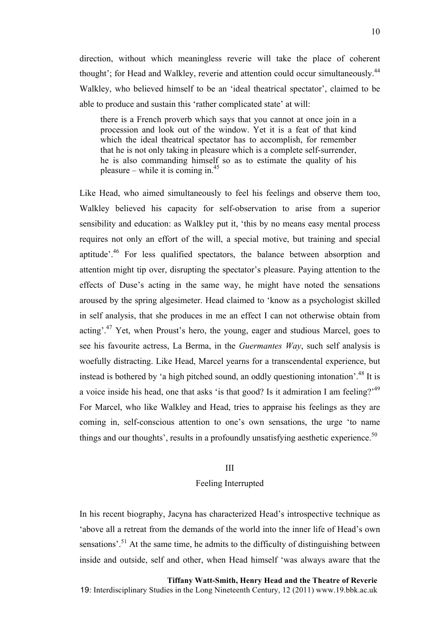direction, without which meaningless reverie will take the place of coherent thought'; for Head and Walkley, reverie and attention could occur simultaneously.<sup>44</sup> Walkley, who believed himself to be an 'ideal theatrical spectator', claimed to be able to produce and sustain this 'rather complicated state' at will:

there is a French proverb which says that you cannot at once join in a procession and look out of the window. Yet it is a feat of that kind which the ideal theatrical spectator has to accomplish, for remember that he is not only taking in pleasure which is a complete self-surrender, he is also commanding himself so as to estimate the quality of his pleasure – while it is coming in. $45$ 

Like Head, who aimed simultaneously to feel his feelings and observe them too, Walkley believed his capacity for self-observation to arise from a superior sensibility and education: as Walkley put it, 'this by no means easy mental process requires not only an effort of the will, a special motive, but training and special aptitude'.46 For less qualified spectators, the balance between absorption and attention might tip over, disrupting the spectator's pleasure. Paying attention to the effects of Duse's acting in the same way, he might have noted the sensations aroused by the spring algesimeter. Head claimed to 'know as a psychologist skilled in self analysis, that she produces in me an effect I can not otherwise obtain from acting'.47 Yet, when Proust's hero, the young, eager and studious Marcel, goes to see his favourite actress, La Berma, in the *Guermantes Way*, such self analysis is woefully distracting. Like Head, Marcel yearns for a transcendental experience, but instead is bothered by 'a high pitched sound, an oddly questioning intonation'.48 It is a voice inside his head, one that asks 'is that good? Is it admiration I am feeling?'49 For Marcel, who like Walkley and Head, tries to appraise his feelings as they are coming in, self-conscious attention to one's own sensations, the urge 'to name things and our thoughts', results in a profoundly unsatisfying aesthetic experience.<sup>50</sup>

#### III

### Feeling Interrupted

In his recent biography, Jacyna has characterized Head's introspective technique as 'above all a retreat from the demands of the world into the inner life of Head's own sensations'.<sup>51</sup> At the same time, he admits to the difficulty of distinguishing between inside and outside, self and other, when Head himself 'was always aware that the

**Tiffany Watt-Smith, Henry Head and the Theatre of Reverie** 19: Interdisciplinary Studies in the Long Nineteenth Century, 12 (2011) www.19.bbk.ac.uk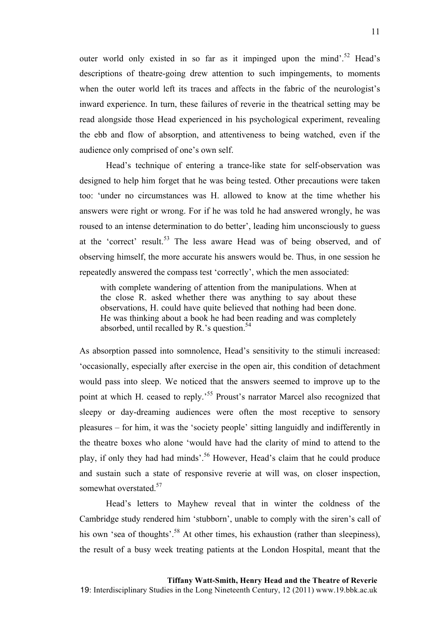outer world only existed in so far as it impinged upon the mind'.<sup>52</sup> Head's descriptions of theatre-going drew attention to such impingements, to moments when the outer world left its traces and affects in the fabric of the neurologist's inward experience. In turn, these failures of reverie in the theatrical setting may be read alongside those Head experienced in his psychological experiment, revealing the ebb and flow of absorption, and attentiveness to being watched, even if the audience only comprised of one's own self.

Head's technique of entering a trance-like state for self-observation was designed to help him forget that he was being tested. Other precautions were taken too: 'under no circumstances was H. allowed to know at the time whether his answers were right or wrong. For if he was told he had answered wrongly, he was roused to an intense determination to do better', leading him unconsciously to guess at the 'correct' result.<sup>53</sup> The less aware Head was of being observed, and of observing himself, the more accurate his answers would be. Thus, in one session he repeatedly answered the compass test 'correctly', which the men associated:

with complete wandering of attention from the manipulations. When at the close R. asked whether there was anything to say about these observations, H. could have quite believed that nothing had been done. He was thinking about a book he had been reading and was completely absorbed, until recalled by R.'s question.<sup>54</sup>

As absorption passed into somnolence, Head's sensitivity to the stimuli increased: 'occasionally, especially after exercise in the open air, this condition of detachment would pass into sleep. We noticed that the answers seemed to improve up to the point at which H. ceased to reply.'<sup>55</sup> Proust's narrator Marcel also recognized that sleepy or day-dreaming audiences were often the most receptive to sensory pleasures – for him, it was the 'society people' sitting languidly and indifferently in the theatre boxes who alone 'would have had the clarity of mind to attend to the play, if only they had had minds'.56 However, Head's claim that he could produce and sustain such a state of responsive reverie at will was, on closer inspection, somewhat overstated.<sup>57</sup>

Head's letters to Mayhew reveal that in winter the coldness of the Cambridge study rendered him 'stubborn', unable to comply with the siren's call of his own 'sea of thoughts'.<sup>58</sup> At other times, his exhaustion (rather than sleepiness), the result of a busy week treating patients at the London Hospital, meant that the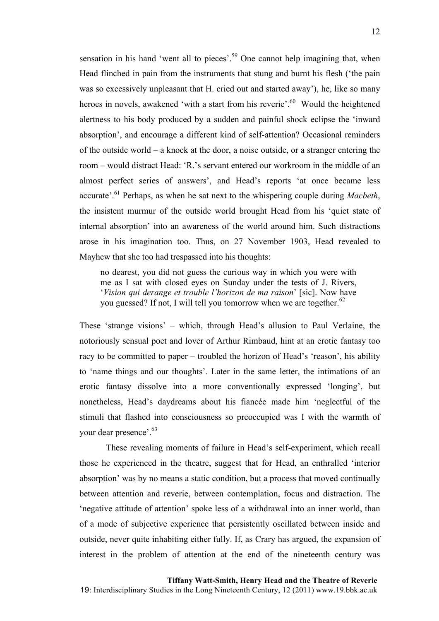sensation in his hand 'went all to pieces'.<sup>59</sup> One cannot help imagining that, when Head flinched in pain from the instruments that stung and burnt his flesh ('the pain was so excessively unpleasant that H. cried out and started away'), he, like so many heroes in novels, awakened 'with a start from his reverie'.<sup>60</sup> Would the heightened alertness to his body produced by a sudden and painful shock eclipse the 'inward absorption', and encourage a different kind of self-attention? Occasional reminders of the outside world – a knock at the door, a noise outside, or a stranger entering the room – would distract Head: 'R.'s servant entered our workroom in the middle of an almost perfect series of answers', and Head's reports 'at once became less accurate<sup>'.61</sup> Perhaps, as when he sat next to the whispering couple during *Macbeth*, the insistent murmur of the outside world brought Head from his 'quiet state of internal absorption' into an awareness of the world around him. Such distractions arose in his imagination too. Thus, on 27 November 1903, Head revealed to Mayhew that she too had trespassed into his thoughts:

no dearest, you did not guess the curious way in which you were with me as I sat with closed eyes on Sunday under the tests of J. Rivers, '*Vision qui derange et trouble l'horizon de ma raison*' [sic]. Now have you guessed? If not, I will tell you tomorrow when we are together.<sup>62</sup>

These 'strange visions' – which, through Head's allusion to Paul Verlaine, the notoriously sensual poet and lover of Arthur Rimbaud, hint at an erotic fantasy too racy to be committed to paper – troubled the horizon of Head's 'reason', his ability to 'name things and our thoughts'. Later in the same letter, the intimations of an erotic fantasy dissolve into a more conventionally expressed 'longing', but nonetheless, Head's daydreams about his fiancée made him 'neglectful of the stimuli that flashed into consciousness so preoccupied was I with the warmth of your dear presence'.<sup>63</sup>

These revealing moments of failure in Head's self-experiment, which recall those he experienced in the theatre, suggest that for Head, an enthralled 'interior absorption' was by no means a static condition, but a process that moved continually between attention and reverie, between contemplation, focus and distraction. The 'negative attitude of attention' spoke less of a withdrawal into an inner world, than of a mode of subjective experience that persistently oscillated between inside and outside, never quite inhabiting either fully. If, as Crary has argued, the expansion of interest in the problem of attention at the end of the nineteenth century was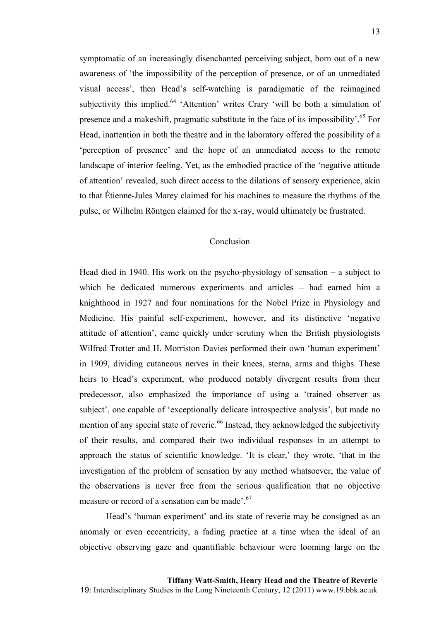symptomatic of an increasingly disenchanted perceiving subject, born out of a new awareness of 'the impossibility of the perception of presence, or of an unmediated visual access', then Head's self-watching is paradigmatic of the reimagined subjectivity this implied.<sup>64</sup> 'Attention' writes Crary 'will be both a simulation of presence and a makeshift, pragmatic substitute in the face of its impossibility'.<sup>65</sup> For Head, inattention in both the theatre and in the laboratory offered the possibility of a 'perception of presence' and the hope of an unmediated access to the remote landscape of interior feeling. Yet, as the embodied practice of the 'negative attitude of attention' revealed, such direct access to the dilations of sensory experience, akin to that Étienne-Jules Marey claimed for his machines to measure the rhythms of the pulse, or Wilhelm Röntgen claimed for the x-ray, would ultimately be frustrated.

### Conclusion

Head died in 1940. His work on the psycho-physiology of sensation  $-$  a subject to which he dedicated numerous experiments and articles – had earned him a knighthood in 1927 and four nominations for the Nobel Prize in Physiology and Medicine. His painful self-experiment, however, and its distinctive 'negative attitude of attention', came quickly under scrutiny when the British physiologists Wilfred Trotter and H. Morriston Davies performed their own 'human experiment' in 1909, dividing cutaneous nerves in their knees, sterna, arms and thighs. These heirs to Head's experiment, who produced notably divergent results from their predecessor, also emphasized the importance of using a 'trained observer as subject', one capable of 'exceptionally delicate introspective analysis', but made no mention of any special state of reverie.<sup>66</sup> Instead, they acknowledged the subjectivity of their results, and compared their two individual responses in an attempt to approach the status of scientific knowledge. 'It is clear,' they wrote, 'that in the investigation of the problem of sensation by any method whatsoever, the value of the observations is never free from the serious qualification that no objective measure or record of a sensation can be made'.<sup>67</sup>

Head's 'human experiment' and its state of reverie may be consigned as an anomaly or even eccentricity, a fading practice at a time when the ideal of an objective observing gaze and quantifiable behaviour were looming large on the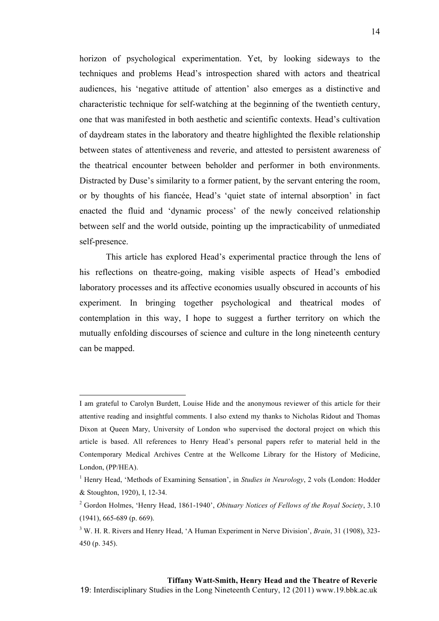horizon of psychological experimentation. Yet, by looking sideways to the techniques and problems Head's introspection shared with actors and theatrical audiences, his 'negative attitude of attention' also emerges as a distinctive and characteristic technique for self-watching at the beginning of the twentieth century, one that was manifested in both aesthetic and scientific contexts. Head's cultivation of daydream states in the laboratory and theatre highlighted the flexible relationship between states of attentiveness and reverie, and attested to persistent awareness of the theatrical encounter between beholder and performer in both environments. Distracted by Duse's similarity to a former patient, by the servant entering the room, or by thoughts of his fiancée, Head's 'quiet state of internal absorption' in fact enacted the fluid and 'dynamic process' of the newly conceived relationship between self and the world outside, pointing up the impracticability of unmediated self-presence.

This article has explored Head's experimental practice through the lens of his reflections on theatre-going, making visible aspects of Head's embodied laboratory processes and its affective economies usually obscured in accounts of his experiment. In bringing together psychological and theatrical modes of contemplation in this way, I hope to suggest a further territory on which the mutually enfolding discourses of science and culture in the long nineteenth century can be mapped.

 $\overline{a}$ 

I am grateful to Carolyn Burdett, Louise Hide and the anonymous reviewer of this article for their attentive reading and insightful comments. I also extend my thanks to Nicholas Ridout and Thomas Dixon at Queen Mary, University of London who supervised the doctoral project on which this article is based. All references to Henry Head's personal papers refer to material held in the Contemporary Medical Archives Centre at the Wellcome Library for the History of Medicine, London, (PP/HEA).

<sup>&</sup>lt;sup>1</sup> Henry Head, 'Methods of Examining Sensation', in *Studies in Neurology*, 2 vols (London: Hodder & Stoughton, 1920), I, 12-34.

<sup>2</sup> Gordon Holmes, 'Henry Head, 1861-1940', *Obituary Notices of Fellows of the Royal Society*, 3.10 (1941), 665-689 (p. 669).

<sup>3</sup> W. H. R. Rivers and Henry Head, 'A Human Experiment in Nerve Division', *Brain*, 31 (1908), 323- 450 (p. 345).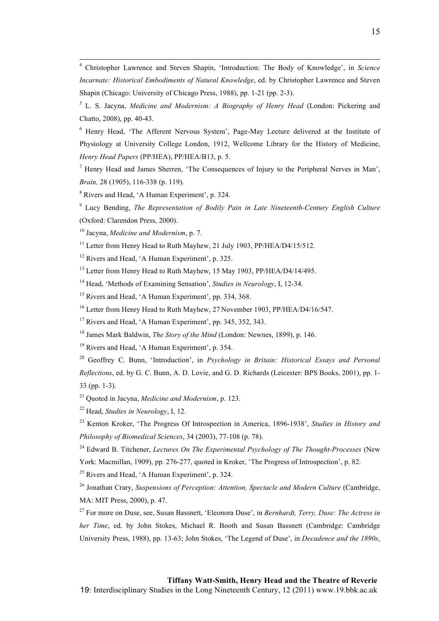$\frac{1}{4}$  Christopher Lawrence and Steven Shapin, 'Introduction: The Body of Knowledge', in *Science Incarnate: Historical Embodiments of Natural Knowledge*, ed. by Christopher Lawrence and Steven Shapin (Chicago: University of Chicago Press, 1988), pp. 1-21 (pp. 2-3).

5 L. S. Jacyna, *Medicine and Modernism: A Biography of Henry Head* (London: Pickering and Chatto, 2008), pp. 40-43.

<sup>6</sup> Henry Head, 'The Afferent Nervous System', Page-May Lecture delivered at the Institute of Physiology at University College London, 1912, Wellcome Library for the History of Medicine, *Henry Head Papers* (PP/HEA), PP/HEA/B13, p. 5.

<sup>7</sup> Henry Head and James Sherren, 'The Consequences of Injury to the Peripheral Nerves in Man', *Brain,* 28 (1905), 116-338 (p. 119).

<sup>8</sup> Rivers and Head, 'A Human Experiment', p. 324.

9 Lucy Bending, *The Representation of Bodily Pain in Late Nineteenth-Century English Culture* (Oxford: Clarendon Press, 2000).

10 Jacyna, *Medicine and Modernism*, p. 7.

<sup>11</sup> Letter from Henry Head to Ruth Mayhew, 21 July 1903, PP/HEA/D4/15/512.

<sup>12</sup> Rivers and Head, 'A Human Experiment', p. 325.

<sup>13</sup> Letter from Henry Head to Ruth Mayhew, 15 May 1903, PP/HEA/D4/14/495.

14 Head, 'Methods of Examining Sensation', *Studies in Neurology*, I, 12-34.

<sup>15</sup> Rivers and Head, 'A Human Experiment', pp. 334, 368.

<sup>16</sup> Letter from Henry Head to Ruth Mayhew, 27 November 1903, PP/HEA/D4/16/547.

<sup>17</sup> Rivers and Head, 'A Human Experiment', pp. 345, 352, 343.

18 James Mark Baldwin, *The Story of the Mind* (London: Newnes, 1899), p. 146.

<sup>19</sup> Rivers and Head, 'A Human Experiment', p. 354.

20 Geoffrey C. Bunn, 'Introduction', in *Psychology in Britain: Historical Essays and Personal Reflections*, ed. by G. C. Bunn, A. D. Lovie, and G. D. Richards (Leicester: BPS Books, 2001), pp. 1- 33 (pp. 1-3).

21 Quoted in Jacyna, *Medicine and Modernism*, p. 123.

22 Head, *Studies in Neurology*, I, 12.

23 Kenton Kroker, 'The Progress Of Introspection in America, 1896-1938', *Studies in History and Philosophy of Biomedical Sciences*, 34 (2003), 77-108 (p. 78).

24 Edward B. Titchener, *Lectures On The Experimental Psychology of The Thought-Processes* (New York: Macmillan, 1909), pp. 276-277, quoted in Kroker, 'The Progress of Introspection', p. 82.

 $25$  Rivers and Head, 'A Human Experiment', p. 324.

<sup>26</sup> Jonathan Crary, *Suspensions of Perception: Attention, Spectacle and Modern Culture* (Cambridge, MA: MIT Press, 2000), p. 47.

27 For more on Duse, see, Susan Bassnett, 'Eleonora Duse', in *Bernhardt, Terry, Duse: The Actress in her Time*, ed. by John Stokes, Michael R. Booth and Susan Bassnett (Cambridge: Cambridge University Press, 1988), pp. 13-63; John Stokes, 'The Legend of Duse', in *Decadence and the 1890s*,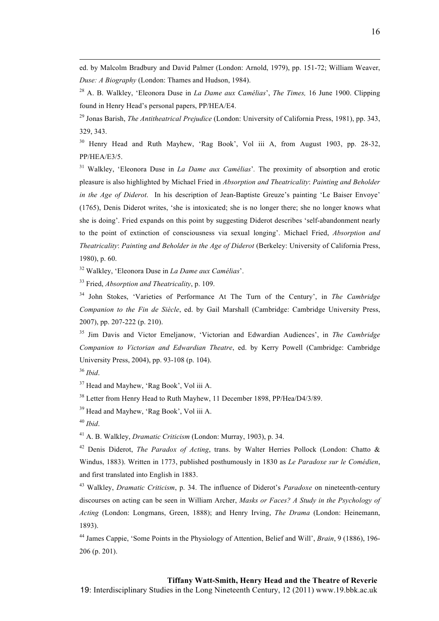ed. by Malcolm Bradbury and David Palmer (London: Arnold, 1979), pp. 151-72; William Weaver, *Duse: A Biography* (London: Thames and Hudson, 1984).

28 A. B. Walkley, 'Eleonora Duse in *La Dame aux Camélias*', *The Times,* 16 June 1900. Clipping found in Henry Head's personal papers, PP/HEA/E4.

29 Jonas Barish, *The Antitheatrical Prejudice* (London: University of California Press, 1981), pp. 343, 329, 343.

<sup>30</sup> Henry Head and Ruth Mayhew, 'Rag Book', Vol iii A, from August 1903, pp. 28-32, PP/HEA/E3/5.

31 Walkley, 'Eleonora Duse in *La Dame aux Camélias*'*.* The proximity of absorption and erotic pleasure is also highlighted by Michael Fried in *Absorption and Theatricality*: *Painting and Beholder in the Age of Diderot*. In his description of Jean-Baptiste Greuze's painting 'Le Baiser Envoye' (1765), Denis Diderot writes, 'she is intoxicated; she is no longer there; she no longer knows what she is doing'. Fried expands on this point by suggesting Diderot describes 'self-abandonment nearly to the point of extinction of consciousness via sexual longing'. Michael Fried, *Absorption and Theatricality*: *Painting and Beholder in the Age of Diderot* (Berkeley: University of California Press, 1980), p. 60.

32 Walkley, 'Eleonora Duse in *La Dame aux Camélias*'.

33 Fried, *Absorption and Theatricality*, p. 109.

34 John Stokes, 'Varieties of Performance At The Turn of the Century', in *The Cambridge Companion to the Fin de Siècle*, ed. by Gail Marshall (Cambridge: Cambridge University Press, 2007), pp. 207-222 (p. 210).

35 Jim Davis and Victor Emeljanow, 'Victorian and Edwardian Audiences', in *The Cambridge Companion to Victorian and Edwardian Theatre*, ed. by Kerry Powell (Cambridge: Cambridge University Press, 2004), pp. 93-108 (p. 104).

<sup>37</sup> Head and Mayhew, 'Rag Book', Vol iii A.

<sup>38</sup> Letter from Henry Head to Ruth Mayhew, 11 December 1898, PP/Hea/D4/3/89.

<sup>39</sup> Head and Mayhew, 'Rag Book', Vol iii A.

<sup>40</sup> *Ibid*.

41 A. B. Walkley, *Dramatic Criticism* (London: Murray, 1903), p. 34.

42 Denis Diderot, *The Paradox of Acting*, trans. by Walter Herries Pollock (London: Chatto & Windus, 1883). Written in 1773, published posthumously in 1830 as *Le Paradoxe sur le Comédien*, and first translated into English in 1883.

43 Walkley, *Dramatic Criticism*, p. 34. The influence of Diderot's *Paradoxe* on nineteenth-century discourses on acting can be seen in William Archer, *Masks or Faces? A Study in the Psychology of Acting* (London: Longmans, Green, 1888); and Henry Irving, *The Drama* (London: Heinemann, 1893).

44 James Cappie, 'Some Points in the Physiology of Attention, Belief and Will', *Brain*, 9 (1886), 196- 206 (p. 201).

19: Interdisciplinary Studies in the Long Nineteenth Century, 12 (2011) www.19.bbk.ac.uk

<sup>36</sup> *Ibid*.